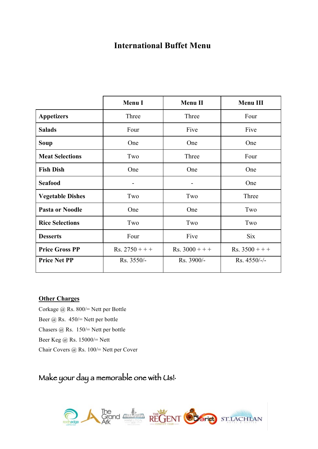## **International Buffet Menu**

|                         | <b>Menu I</b>    | <b>Menu II</b>   | Menu III         |
|-------------------------|------------------|------------------|------------------|
| <b>Appetizers</b>       | Three            | Three            | Four             |
| <b>Salads</b>           | Four             | Five             | Five             |
| <b>Soup</b>             | One              | One              | One              |
| <b>Meat Selections</b>  | Two              | Three            | Four             |
| <b>Fish Dish</b>        | One              | One              | One              |
| <b>Seafood</b>          |                  |                  | One              |
| <b>Vegetable Dishes</b> | Two              | Two              | Three            |
| <b>Pasta or Noodle</b>  | One              | One              | Two              |
| <b>Rice Selections</b>  | Two              | Two              | Two              |
| <b>Desserts</b>         | Four             | Five             | <b>Six</b>       |
| <b>Price Gross PP</b>   | $Rs. 2750 + + +$ | $Rs. 3000 + + +$ | $Rs. 3500 + + +$ |
| <b>Price Net PP</b>     | Rs. 3550/-       | Rs. 3900/-       | Rs. 4550/-/-     |

#### **Other Charges**

Corkage @ Rs. 800/= Nett per Bottle Beer @ Rs. 450/= Nett per bottle Chasers @ Rs. 150/= Nett per bottle Beer Keg @ Rs. 15000/= Nett Chair Covers @ Rs. 100/= Nett per Cover

# Make your day a memorable one with Us!

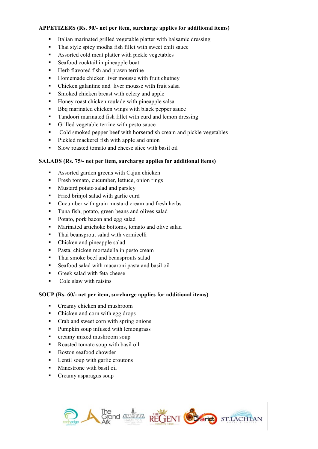#### **APPETIZERS (Rs. 90/- net per item, surcharge applies for additional items)**

- Italian marinated grilled vegetable platter with balsamic dressing
- Thai style spicy modha fish fillet with sweet chili sauce
- Assorted cold meat platter with pickle vegetables
- Seafood cocktail in pineapple boat
- Herb flavored fish and prawn terrine
- Homemade chicken liver mousse with fruit chutney
- Chicken galantine and liver mousse with fruit salsa
- Smoked chicken breast with celery and apple
- Honey roast chicken roulade with pineapple salsa
- Bbq marinated chicken wings with black pepper sauce
- Tandoori marinated fish fillet with curd and lemon dressing
- Grilled vegetable terrine with pesto sauce
- Cold smoked pepper beef with horseradish cream and pickle vegetables
- Pickled mackerel fish with apple and onion
- § Slow roasted tomato and cheese slice with basil oil

#### **SALADS (Rs. 75/- net per item, surcharge applies for additional items)**

- Assorted garden greens with Cajun chicken
- Fresh tomato, cucumber, lettuce, onion rings
- Mustard potato salad and parsley
- Fried briniol salad with garlic curd
- Cucumber with grain mustard cream and fresh herbs
- Tuna fish, potato, green beans and olives salad
- Potato, pork bacon and egg salad
- Marinated artichoke bottoms, tomato and olive salad
- Thai beansprout salad with vermicelli
- Chicken and pineapple salad
- Pasta, chicken mortadella in pesto cream
- Thai smoke beef and beansprouts salad
- Seafood salad with macaroni pasta and basil oil
- Greek salad with feta cheese
- $\blacksquare$  Cole slaw with raisins

#### **SOUP (Rs. 60/- net per item, surcharge applies for additional items)**

- Creamy chicken and mushroom
- Chicken and corn with egg drops
- Crab and sweet corn with spring onions
- Pumpkin soup infused with lemongrass
- creamy mixed mushroom soup
- Roasted tomato soup with basil oil
- Boston seafood chowder
- Lentil soup with garlic croutons
- Minestrone with basil oil
- Creamy asparagus soup

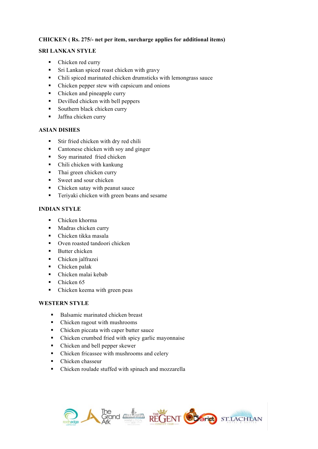#### **CHICKEN ( Rs. 275/- net per item, surcharge applies for additional items)**

#### **SRI LANKAN STYLE**

- Chicken red curry
- Sri Lankan spiced roast chicken with gravy
- § Chili spiced marinated chicken drumsticks with lemongrass sauce
- Chicken pepper stew with capsicum and onions
- Chicken and pineapple curry
- Devilled chicken with bell peppers
- Southern black chicken curry
- Jaffna chicken curry

## **ASIAN DISHES**

- Stir fried chicken with dry red chili
- Cantonese chicken with soy and ginger
- Soy marinated fried chicken
- Chili chicken with kankung
- Thai green chicken curry
- Sweet and sour chicken
- Chicken satay with peanut sauce
- Teriyaki chicken with green beans and sesame

## **INDIAN STYLE**

- Chicken khorma
- Madras chicken curry
- Chicken tikka masala
- Oven roasted tandoori chicken
- Butter chicken
- Chicken jalfrazei
- Chicken palak
- Chicken malai kebab
- Chicken 65
- Chicken keema with green peas

## **WESTERN STYLE**

- Balsamic marinated chicken breast
- Chicken ragout with mushrooms
- Chicken piccata with caper butter sauce
- Chicken crumbed fried with spicy garlic mayonnaise
- Chicken and bell pepper skewer
- § Chicken fricassee with mushrooms and celery
- Chicken chasseur
- Chicken roulade stuffed with spinach and mozzarella

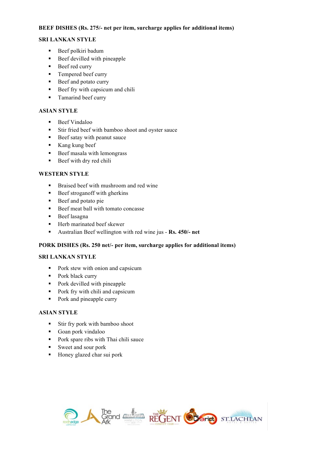#### **BEEF DISHES (Rs. 275/- net per item, surcharge applies for additional items)**

## **SRI LANKAN STYLE**

- Beef polkiri badum
- Beef devilled with pineapple
- Beef red curry
- Tempered beef curry
- Beef and potato curry
- Beef fry with capsicum and chili
- Tamarind beef curry

#### **ASIAN STYLE**

- Beef Vindaloo
- Stir fried beef with bamboo shoot and oyster sauce
- Beef satay with peanut sauce
- Kang kung beef
- Beef masala with lemongrass
- Beef with dry red chili

#### **WESTERN STYLE**

- Braised beef with mushroom and red wine
- Beef stroganoff with gherkins
- Beef and potato pie
- Beef meat ball with tomato concasse
- Beef lasagna
- Herb marinated beef skewer
- § Australian Beef wellington with red wine jus **Rs. 450/- net**

#### **PORK DISHES (Rs. 250 net/- per item, surcharge applies for additional items)**

#### **SRI LANKAN STYLE**

- Pork stew with onion and capsicum
- Pork black curry
- Pork devilled with pineapple
- Pork fry with chili and capsicum
- Pork and pineapple curry

#### **ASIAN STYLE**

- Stir fry pork with bamboo shoot
- Goan pork vindaloo
- Pork spare ribs with Thai chili sauce
- Sweet and sour pork
- Honey glazed char sui pork

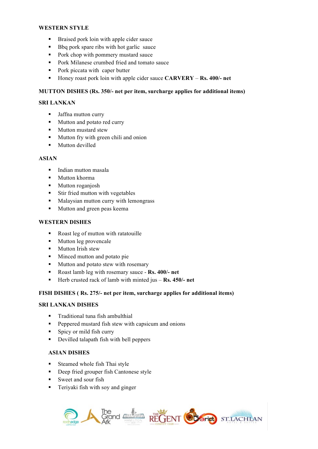#### **WESTERN STYLE**

- Braised pork loin with apple cider sauce
- Bbq pork spare ribs with hot garlic sauce
- Pork chop with pommery mustard sauce
- Pork Milanese crumbed fried and tomato sauce
- Pork piccata with caper butter
- § Honey roast pork loin with apple cider sauce **CARVERY Rs. 400/- net**

### **MUTTON DISHES (Rs. 350/- net per item, surcharge applies for additional items)**

## **SRI LANKAN**

- Jaffna mutton curry
- Mutton and potato red curry
- Mutton mustard stew
- Mutton fry with green chili and onion
- Mutton devilled

#### **ASIAN**

- Indian mutton masala
- § Mutton khorma
- Mutton roganjosh
- Stir fried mutton with vegetables
- Malaysian mutton curry with lemongrass
- Mutton and green peas keema

#### **WESTERN DISHES**

- Roast leg of mutton with ratatouille
- Mutton leg provencale
- Mutton Irish stew
- Minced mutton and potato pie
- Mutton and potato stew with rosemary
- § Roast lamb leg with rosemary sauce **Rs. 400/- net**
- Herb crusted rack of lamb with minted jus **Rs. 450/-** net

#### **FISH DISHES ( Rs. 275/- net per item, surcharge applies for additional items)**

## **SRI LANKAN DISHES**

- Traditional tuna fish ambulthial
- Peppered mustard fish stew with capsicum and onions
- Spicy or mild fish curry
- Devilled talapath fish with bell peppers

## **ASIAN DISHES**

- Steamed whole fish Thai style
- Deep fried grouper fish Cantonese style
- Sweet and sour fish
- Teriyaki fish with soy and ginger

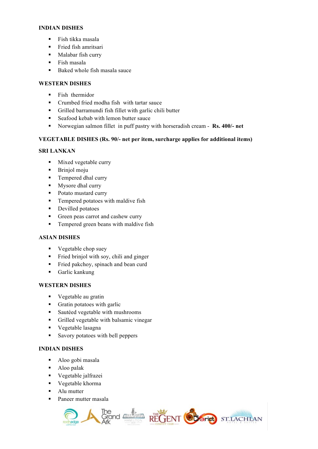#### **INDIAN DISHES**

- Fish tikka masala
- Fried fish amritsari
- Malabar fish curry
- § Fish masala
- Baked whole fish masala sauce

#### **WESTERN DISHES**

- **Example Fish thermidor**
- Crumbed fried modha fish with tartar sauce
- § Grilled barramundi fish fillet with garlic chili butter
- Seafood kebab with lemon butter sauce
- § Norwegian salmon fillet in puff pastry with horseradish cream **Rs. 400/- net**

#### **VEGETABLE DISHES (Rs. 90/- net per item, surcharge applies for additional items)**

## **SRI LANKAN**

- Mixed vegetable curry
- Brinjol moju
- Tempered dhal curry
- Mysore dhal curry
- Potato mustard curry
- Tempered potatoes with maldive fish
- Devilled potatoes
- Green peas carrot and cashew curry
- Tempered green beans with maldive fish

#### **ASIAN DISHES**

- Vegetable chop suey
- Fried brinjol with soy, chili and ginger
- Fried pakchoy, spinach and bean curd
- § Garlic kankung

#### **WESTERN DISHES**

- Vegetable au gratin
- Gratin potatoes with garlic
- Sautéed vegetable with mushrooms
- § Grilled vegetable with balsamic vinegar
- Vegetable lasagna
- Savory potatoes with bell peppers

#### **INDIAN DISHES**

- Aloo gobi masala
- Aloo palak
- Vegetable jalfrazei
- Vegetable khorma
- Alu mutter
- Paneer mutter masala

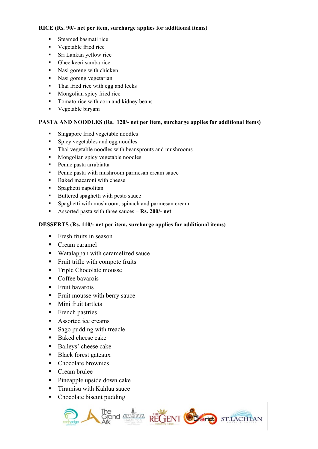#### **RICE (Rs. 90/- net per item, surcharge applies for additional items)**

- Steamed basmati rice
- Vegetable fried rice
- Sri Lankan yellow rice
- Ghee keeri samba rice
- Nasi goreng with chicken
- Nasi goreng vegetarian
- Thai fried rice with egg and leeks
- Mongolian spicy fried rice
- Tomato rice with corn and kidney beans
- Vegetable biryani

#### **PASTA AND NOODLES (Rs. 120/- net per item, surcharge applies for additional items)**

- Singapore fried vegetable noodles
- Spicy vegetables and egg noodles
- Thai vegetable noodles with beansprouts and mushrooms
- Mongolian spicy vegetable noodles
- Penne pasta arrabiatta
- Penne pasta with mushroom parmesan cream sauce
- Baked macaroni with cheese
- Spaghetti napolitan
- Buttered spaghetti with pesto sauce
- Spaghetti with mushroom, spinach and parmesan cream
- § Assorted pasta with three sauces **Rs. 200/- net**

#### **DESSERTS (Rs. 110/- net per item, surcharge applies for additional items)**

- Fresh fruits in season
- Cream caramel
- Watalappan with caramelized sauce
- Fruit trifle with compote fruits
- Triple Chocolate mousse
- Coffee bavarois
- Fruit bavarois
- Fruit mousse with berry sauce
- Mini fruit tartlets
- French pastries
- Assorted ice creams
- Sago pudding with treacle
- Baked cheese cake
- Baileys' cheese cake
- Black forest gateaux
- Chocolate brownies
- Cream brulee
- Pineapple upside down cake
- Tiramisu with Kahlua sauce
- Chocolate biscuit pudding